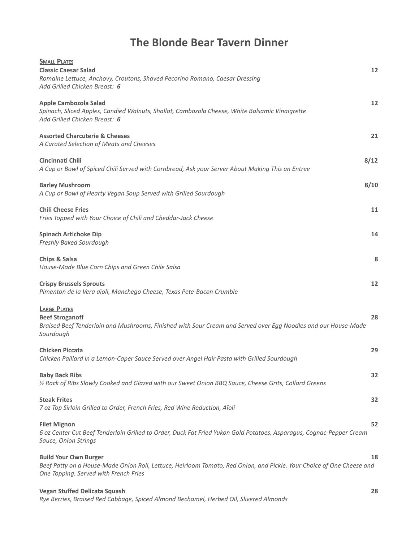# **The Blonde Bear Tavern Dinner**

| <b>SMALL PLATES</b><br><b>Classic Caesar Salad</b><br>Romaine Lettuce, Anchovy, Croutons, Shaved Pecorino Romano, Caesar Dressing<br>Add Grilled Chicken Breast: 6                             | 12   |
|------------------------------------------------------------------------------------------------------------------------------------------------------------------------------------------------|------|
| <b>Apple Cambozola Salad</b><br>Spinach, Sliced Apples, Candied Walnuts, Shallot, Cambozola Cheese, White Balsamic Vinaigrette<br>Add Grilled Chicken Breast: 6                                | 12   |
| <b>Assorted Charcuterie &amp; Cheeses</b><br>A Curated Selection of Meats and Cheeses                                                                                                          | 21   |
| Cincinnati Chili<br>A Cup or Bowl of Spiced Chili Served with Cornbread, Ask your Server About Making This an Entree                                                                           | 8/12 |
| <b>Barley Mushroom</b><br>A Cup or Bowl of Hearty Vegan Soup Served with Grilled Sourdough                                                                                                     | 8/10 |
| <b>Chili Cheese Fries</b><br>Fries Topped with Your Choice of Chili and Cheddar-Jack Cheese                                                                                                    | 11   |
| <b>Spinach Artichoke Dip</b><br>Freshly Baked Sourdough                                                                                                                                        | 14   |
| <b>Chips &amp; Salsa</b><br>House-Made Blue Corn Chips and Green Chile Salsa                                                                                                                   | 8    |
| <b>Crispy Brussels Sprouts</b><br>Pimenton de la Vera aïoli, Manchego Cheese, Texas Pete-Bacon Crumble                                                                                         | 12   |
| <b>LARGE PLATES</b><br><b>Beef Stroganoff</b><br>Braised Beef Tenderloin and Mushrooms, Finished with Sour Cream and Served over Egg Noodles and our House-Made<br>Sourdough                   | 28   |
| <b>Chicken Piccata</b><br>Chicken Paillard in a Lemon-Caper Sauce Served over Angel Hair Pasta with Grilled Sourdough                                                                          | 29   |
| <b>Baby Back Ribs</b><br>1/2 Rack of Ribs Slowly Cooked and Glazed with our Sweet Onion BBQ Sauce, Cheese Grits, Collard Greens                                                                | 32   |
| <b>Steak Frites</b><br>7 oz Top Sirloin Grilled to Order, French Fries, Red Wine Reduction, Aïoli                                                                                              | 32   |
| <b>Filet Mignon</b><br>6 oz Center Cut Beef Tenderloin Grilled to Order, Duck Fat Fried Yukon Gold Potatoes, Asparagus, Cognac-Pepper Cream<br>Sauce, Onion Strings                            | 52   |
| <b>Build Your Own Burger</b><br>Beef Patty on a House-Made Onion Roll, Lettuce, Heirloom Tomato, Red Onion, and Pickle. Your Choice of One Cheese and<br>One Topping. Served with French Fries | 18   |
| <b>Vegan Stuffed Delicata Squash</b>                                                                                                                                                           | 28   |

*Rye Berries, Braised Red Cabbage, Spiced Almond Bechamel, Herbed Oil, Slivered Almonds*